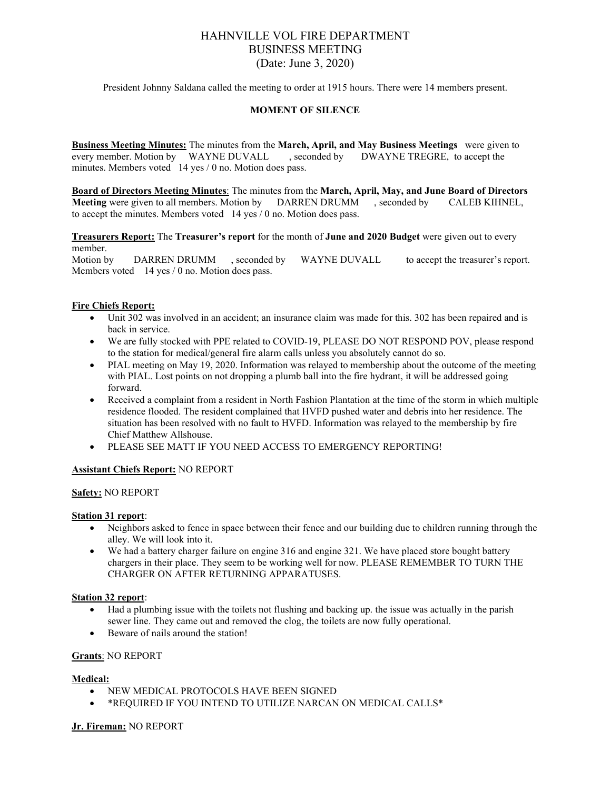# HAHNVILLE VOL FIRE DEPARTMENT BUSINESS MEETING (Date: June 3, 2020)

President Johnny Saldana called the meeting to order at 1915 hours. There were 14 members present.

# **MOMENT OF SILENCE**

**Business Meeting Minutes:** The minutes from the **March, April, and May Business Meetings** were given to every member. Motion by WAYNE DUVALL , seconded by DWAYNE TREGRE, to accept the minutes. Members voted 14 yes / 0 no. Motion does pass.

**Board of Directors Meeting Minutes**: The minutes from the **March, April, May, and June Board of Directors Meeting** were given to all members. Motion by DARREN DRUMM , seconded by CALEB KIHNEL, to accept the minutes. Members voted 14 yes / 0 no. Motion does pass.

**Treasurers Report:** The **Treasurer's report** for the month of **June and 2020 Budget** were given out to every member.

Motion by DARREN DRUMM , seconded by WAYNE DUVALL to accept the treasurer's report. Members voted 14 yes / 0 no. Motion does pass.

### **Fire Chiefs Report:**

- Unit 302 was involved in an accident; an insurance claim was made for this. 302 has been repaired and is back in service.
- We are fully stocked with PPE related to COVID-19, PLEASE DO NOT RESPOND POV, please respond to the station for medical/general fire alarm calls unless you absolutely cannot do so.
- PIAL meeting on May 19, 2020. Information was relayed to membership about the outcome of the meeting with PIAL. Lost points on not dropping a plumb ball into the fire hydrant, it will be addressed going forward.
- Received a complaint from a resident in North Fashion Plantation at the time of the storm in which multiple residence flooded. The resident complained that HVFD pushed water and debris into her residence. The situation has been resolved with no fault to HVFD. Information was relayed to the membership by fire Chief Matthew Allshouse.
- PLEASE SEE MATT IF YOU NEED ACCESS TO EMERGENCY REPORTING!

# **Assistant Chiefs Report:** NO REPORT

### **Safety:** NO REPORT

#### **Station 31 report**:

- Neighbors asked to fence in space between their fence and our building due to children running through the alley. We will look into it.
- We had a battery charger failure on engine 316 and engine 321. We have placed store bought battery chargers in their place. They seem to be working well for now. PLEASE REMEMBER TO TURN THE CHARGER ON AFTER RETURNING APPARATUSES.

#### **Station 32 report**:

- Had a plumbing issue with the toilets not flushing and backing up. the issue was actually in the parish sewer line. They came out and removed the clog, the toilets are now fully operational.
- Beware of nails around the station!

#### **Grants**: NO REPORT

#### **Medical:**

- NEW MEDICAL PROTOCOLS HAVE BEEN SIGNED
- \*REQUIRED IF YOU INTEND TO UTILIZE NARCAN ON MEDICAL CALLS\*

#### **Jr. Fireman:** NO REPORT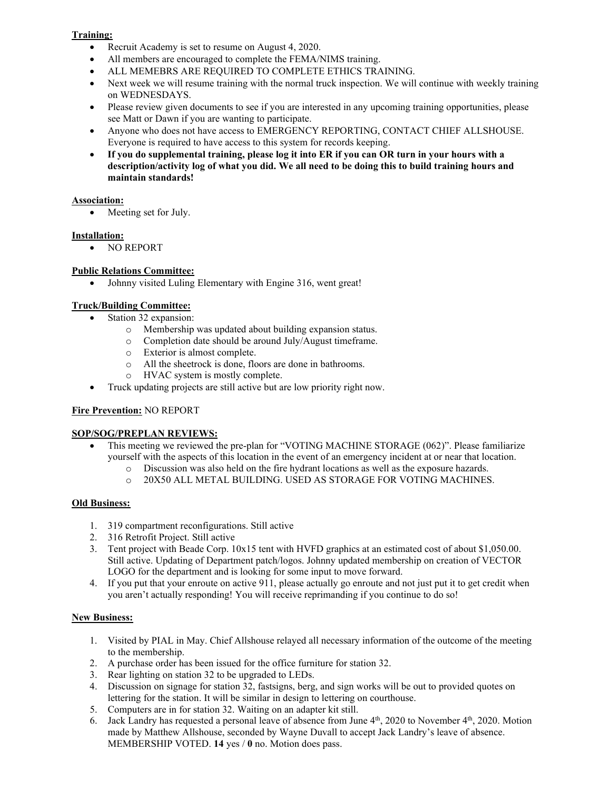# **Training:**

- Recruit Academy is set to resume on August 4, 2020.
- All members are encouraged to complete the FEMA/NIMS training.
- ALL MEMEBRS ARE REQUIRED TO COMPLETE ETHICS TRAINING.
- Next week we will resume training with the normal truck inspection. We will continue with weekly training on WEDNESDAYS.
- Please review given documents to see if you are interested in any upcoming training opportunities, please see Matt or Dawn if you are wanting to participate.
- Anyone who does not have access to EMERGENCY REPORTING, CONTACT CHIEF ALLSHOUSE. Everyone is required to have access to this system for records keeping.
- **If you do supplemental training, please log it into ER if you can OR turn in your hours with a description/activity log of what you did. We all need to be doing this to build training hours and maintain standards!**

# **Association:**

• Meeting set for July.

# **Installation:**

• NO REPORT

# **Public Relations Committee:**

Johnny visited Luling Elementary with Engine 316, went great!

# **Truck/Building Committee:**

- Station 32 expansion:
	- o Membership was updated about building expansion status.
	- o Completion date should be around July/August timeframe.
	- o Exterior is almost complete.
	- o All the sheetrock is done, floors are done in bathrooms.
	- o HVAC system is mostly complete.
- Truck updating projects are still active but are low priority right now.

# **Fire Prevention:** NO REPORT

# **SOP/SOG/PREPLAN REVIEWS:**

- This meeting we reviewed the pre-plan for "VOTING MACHINE STORAGE (062)". Please familiarize yourself with the aspects of this location in the event of an emergency incident at or near that location.
	- o Discussion was also held on the fire hydrant locations as well as the exposure hazards.
	- o 20X50 ALL METAL BUILDING. USED AS STORAGE FOR VOTING MACHINES.

# **Old Business:**

- 1. 319 compartment reconfigurations. Still active
- 2. 316 Retrofit Project. Still active
- 3. Tent project with Beade Corp. 10x15 tent with HVFD graphics at an estimated cost of about \$1,050.00. Still active. Updating of Department patch/logos. Johnny updated membership on creation of VECTOR LOGO for the department and is looking for some input to move forward.
- 4. If you put that your enroute on active 911, please actually go enroute and not just put it to get credit when you aren't actually responding! You will receive reprimanding if you continue to do so!

# **New Business:**

- 1. Visited by PIAL in May. Chief Allshouse relayed all necessary information of the outcome of the meeting to the membership.
- 2. A purchase order has been issued for the office furniture for station 32.
- 3. Rear lighting on station 32 to be upgraded to LEDs.
- 4. Discussion on signage for station 32, fastsigns, berg, and sign works will be out to provided quotes on lettering for the station. It will be similar in design to lettering on courthouse.
- 5. Computers are in for station 32. Waiting on an adapter kit still.
- 6. Jack Landry has requested a personal leave of absence from June  $4<sup>th</sup>$ , 2020 to November  $4<sup>th</sup>$ , 2020. Motion made by Matthew Allshouse, seconded by Wayne Duvall to accept Jack Landry's leave of absence. MEMBERSHIP VOTED. **14** yes / **0** no. Motion does pass.